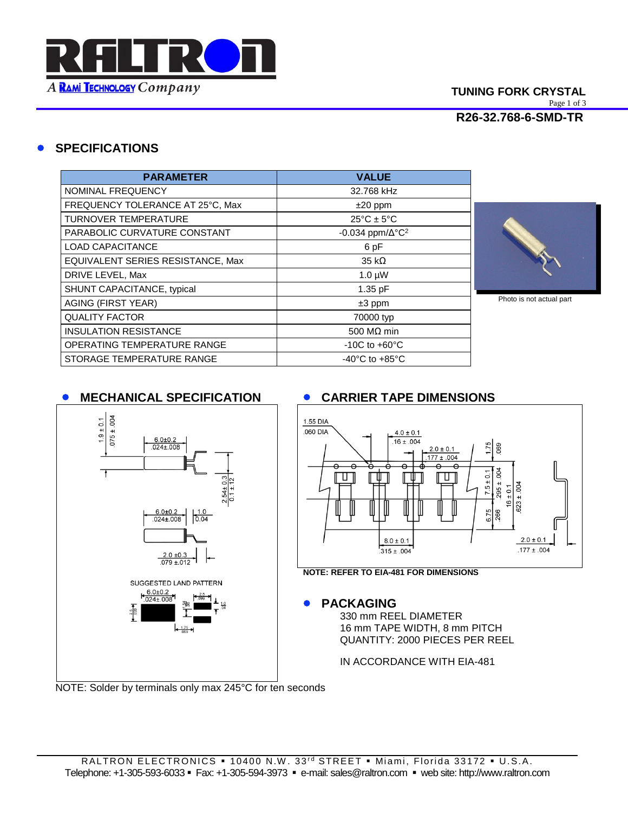

# **SPECIFICATIONS**

| <b>PARAMETER</b>                  | <b>VALUE</b>                         |
|-----------------------------------|--------------------------------------|
| NOMINAL FREQUENCY                 | 32.768 kHz                           |
| FREQUENCY TOLERANCE AT 25°C, Max  | $±20$ ppm                            |
| <b>TURNOVER TEMPERATURE</b>       | $25^{\circ}$ C ± 5°C                 |
| PARABOLIC CURVATURE CONSTANT      | -0.034 ppm/ $\Delta$ °C <sup>2</sup> |
| <b>LOAD CAPACITANCE</b>           | 6 pF                                 |
| EQUIVALENT SERIES RESISTANCE, Max | $35 k\Omega$                         |
| DRIVE LEVEL, Max                  | $1.0 \mu W$                          |
| SHUNT CAPACITANCE, typical        | 1.35 pF                              |
| <b>AGING (FIRST YEAR)</b>         | $±3$ ppm                             |
| <b>QUALITY FACTOR</b>             | 70000 typ                            |
| <b>INSULATION RESISTANCE</b>      | 500 M $\Omega$ min                   |
| OPERATING TEMPERATURE RANGE       | $-10C$ to $+60^{\circ}C$             |
| STORAGE TEMPERATURE RANGE         | $-40^{\circ}$ C to $+85^{\circ}$ C   |



Photo is not actual part

## **MECHANICAL SPECIFICATION CARRIER TAPE DIMENSIONS**





**PACKAGING**

330 mm REEL DIAMETER 16 mm TAPE WIDTH, 8 mm PITCH QUANTITY: 2000 PIECES PER REEL

IN ACCORDANCE WITH EIA-481

NOTE: Solder by terminals only max 245°C for ten seconds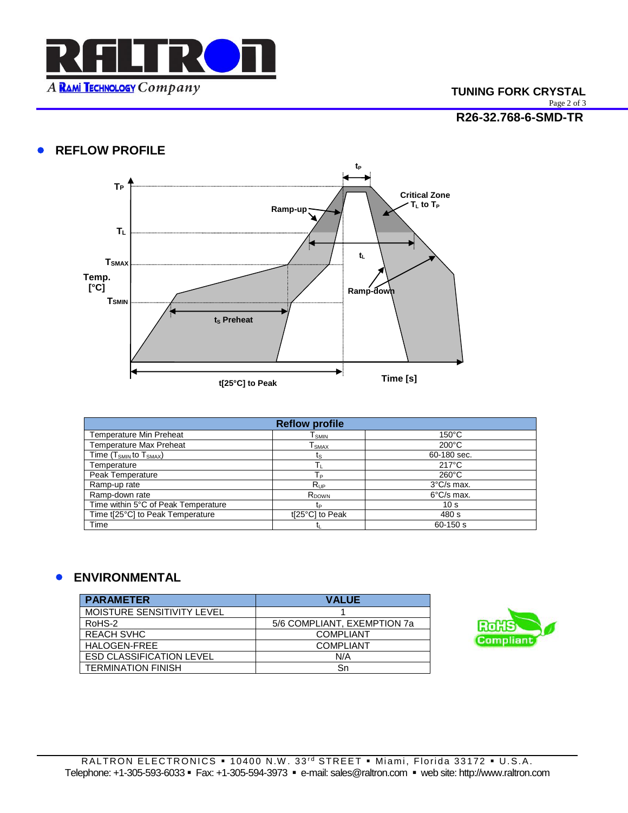

# **TUNING FORK CRYSTAL** Page 2 of 3

#### **R26-32.768-6-SMD-TR**

## **• REFLOW PROFILE**



| <b>Reflow profile</b>               |                   |                      |
|-------------------------------------|-------------------|----------------------|
| <b>Temperature Min Preheat</b>      | l <sub>SMIN</sub> | $150^{\circ}$ C      |
| <b>Temperature Max Preheat</b>      | l smax            | $200^{\circ}$ C      |
| Time $(T_{SMIN}$ to $T_{SMAX}$ )    | ts                | 60-180 sec.          |
| Temperature                         |                   | $217^{\circ}$ C      |
| Peak Temperature                    | Tр                | $260^{\circ}$ C      |
| Ramp-up rate                        | $R_{UP}$          | $3^{\circ}$ C/s max. |
| Ramp-down rate                      | R <sub>DOWN</sub> | $6^{\circ}$ C/s max. |
| Time within 5°C of Peak Temperature | tp                | 10 <sub>s</sub>      |
| Time t[25°C] to Peak Temperature    | t[25°C] to Peak   | 480 s                |
| Time                                |                   | $60 - 150 s$         |

## **ENVIRONMENTAL**

| <b>PARAMETER</b>                | <b>VALUE</b>                |
|---------------------------------|-----------------------------|
| MOISTURE SENSITIVITY LEVEL      |                             |
| RoHS-2                          | 5/6 COMPLIANT, EXEMPTION 7a |
| <b>REACH SVHC</b>               | <b>COMPLIANT</b>            |
| HALOGEN-FREE                    | <b>COMPLIANT</b>            |
| <b>ESD CLASSIFICATION LEVEL</b> | N/A                         |
| <b>TERMINATION FINISH</b>       | Sn                          |